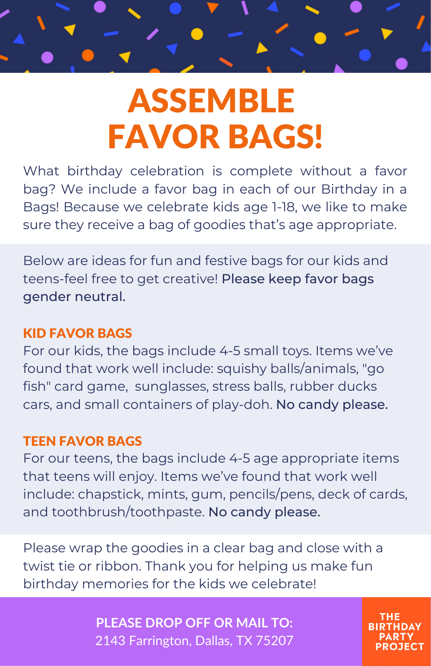

# ASSEMBLE FAVOR BAGS!

What birthday celebration is complete without a favor bag? We include a favor bag in each of our Birthday in a Bags! Because we celebrate kids age 1-18, we like to make sure they receive a bag of goodies that's age appropriate.

Below are ideas for fun and festive bags for our kids and teens-feel free to get creative! Please keep favor bags gender neutral.

### KID FAVOR BAGS

For our kids, the bags include 4-5 small toys. Items we've found that work well include: squishy balls/animals, "go fish" card game, sunglasses, stress balls, rubber ducks cars, and small containers of play-doh. No candy please.

#### TEEN FAVOR BAGS

For our teens, the bags include 4-5 age appropriate items that teens will enjoy. Items we've found that work well include: chapstick, mints, gum, pencils/pens, deck of cards, and toothbrush/toothpaste. No candy please.

Please wrap the goodies in a clear bag and close with a twist tie or ribbon. Thank you for helping us make fun birthday memories for the kids we celebrate!

> **PLEASE DROP OFF OR MAIL TO:** 2143 Farrington, Dallas, TX 75207